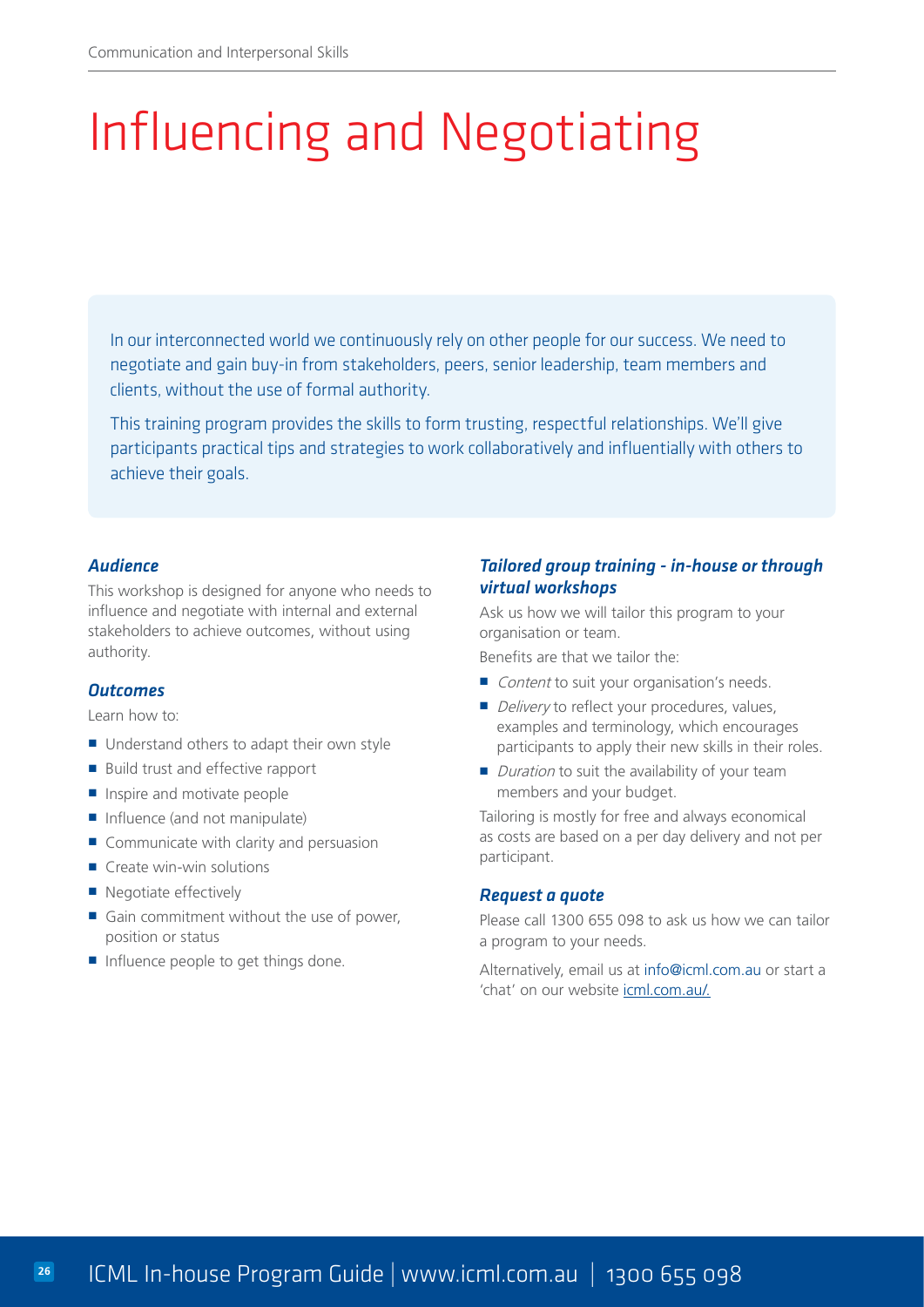# Influencing and Negotiating

In our interconnected world we continuously rely on other people for our success. We need to negotiate and gain buy-in from stakeholders, peers, senior leadership, team members and clients, without the use of formal authority.

This training program provides the skills to form trusting, respectful relationships. We'll give participants practical tips and strategies to work collaboratively and influentially with others to achieve their goals.

### *Audience*

This workshop is designed for anyone who needs to influence and negotiate with internal and external stakeholders to achieve outcomes, without using authority.

### *Outcomes*

Learn how to:

- Understand others to adapt their own style
- **Build trust and effective rapport**
- Inspire and motivate people
- Influence (and not manipulate)
- Communicate with clarity and persuasion
- $\blacksquare$  Create win-win solutions
- Negotiate effectively
- Gain commitment without the use of power, position or status
- Influence people to get things done.

# *Tailored group training - in-house or through virtual workshops*

Ask us how we will tailor this program to your organisation or team.

Benefits are that we tailor the:

- Content to suit your organisation's needs.
- Delivery to reflect your procedures, values, examples and terminology, which encourages participants to apply their new skills in their roles.
- $\blacksquare$  Duration to suit the availability of your team members and your budget.

Tailoring is mostly for free and always economical as costs are based on a per day delivery and not per participant.

#### *Request a quote*

Please call 1300 655 098 to ask us how we can tailor a program to your needs.

Alternatively, email us at [info@icml.com.au](mailto:info%40icml.com.au?subject=Enquiry%20for%20Influencing%20and%20Negotiating%20training) or start a 'chat' on our website [icml.com.au](https://www.icml.com.au/influencing-skills-course/)/.